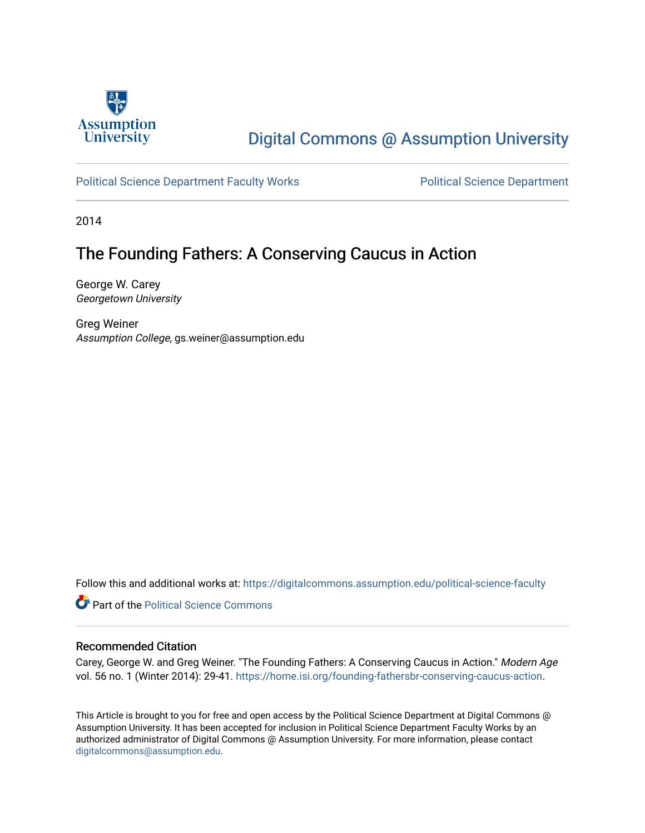

## [Digital Commons @ Assumption University](https://digitalcommons.assumption.edu/)

### [Political Science Department Faculty Works](https://digitalcommons.assumption.edu/political-science-faculty) **Political Science Department**

2014

## The Founding Fathers: A Conserving Caucus in Action

George W. Carey Georgetown University

Greg Weiner Assumption College, gs.weiner@assumption.edu

Follow this and additional works at: [https://digitalcommons.assumption.edu/political-science-faculty](https://digitalcommons.assumption.edu/political-science-faculty?utm_source=digitalcommons.assumption.edu%2Fpolitical-science-faculty%2F76&utm_medium=PDF&utm_campaign=PDFCoverPages)

**Part of the Political Science Commons** 

#### Recommended Citation

Carey, George W. and Greg Weiner. "The Founding Fathers: A Conserving Caucus in Action." Modern Age vol. 56 no. 1 (Winter 2014): 29-41. <https://home.isi.org/founding-fathersbr-conserving-caucus-action>.

This Article is brought to you for free and open access by the Political Science Department at Digital Commons @ Assumption University. It has been accepted for inclusion in Political Science Department Faculty Works by an authorized administrator of Digital Commons @ Assumption University. For more information, please contact [digitalcommons@assumption.edu](mailto:digitalcommons@assumption.edu).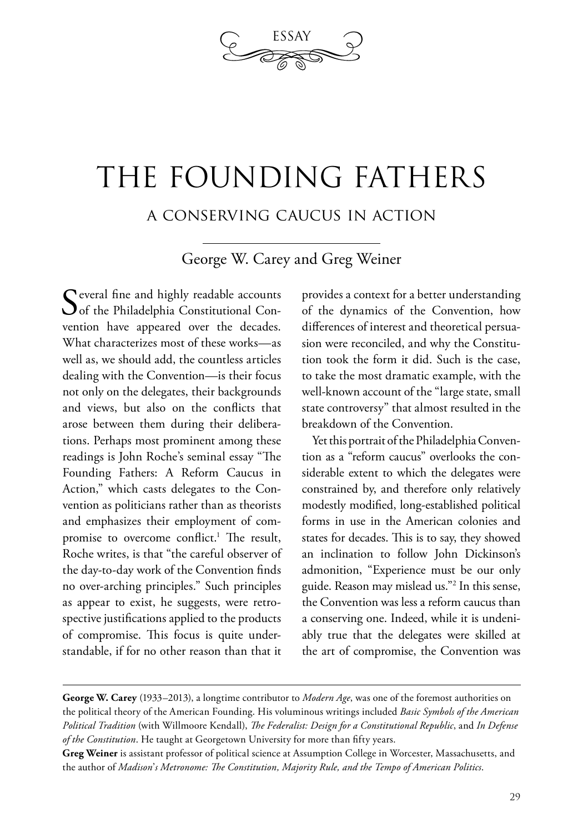

# THE FOUNDING FATHERS

a conserving caucus in action

George W. Carey and Greg Weiner

C everal fine and highly readable accounts  $\bigcup$  of the Philadelphia Constitutional Convention have appeared over the decades. What characterizes most of these works—as well as, we should add, the countless articles dealing with the Convention—is their focus not only on the delegates, their backgrounds and views, but also on the conflicts that arose between them during their deliberations. Perhaps most prominent among these readings is John Roche's seminal essay "The Founding Fathers: A Reform Caucus in Action," which casts delegates to the Convention as politicians rather than as theorists and emphasizes their employment of compromise to overcome conflict.<sup>1</sup> The result, Roche writes, is that "the careful observer of the day-to-day work of the Convention finds no over-arching principles." Such principles as appear to exist, he suggests, were retrospective justifications applied to the products of compromise. This focus is quite understandable, if for no other reason than that it

provides a context for a better understanding of the dynamics of the Convention, how differences of interest and theoretical persuasion were reconciled, and why the Constitution took the form it did. Such is the case, to take the most dramatic example, with the well-known account of the "large state, small state controversy" that almost resulted in the breakdown of the Convention.

Yet this portrait of the Philadelphia Convention as a "reform caucus" overlooks the considerable extent to which the delegates were constrained by, and therefore only relatively modestly modified, long-established political forms in use in the American colonies and states for decades. This is to say, they showed an inclination to follow John Dickinson's admonition, "Experience must be our only guide. Reason may mislead us."2 In this sense, the Convention was less a reform caucus than a conserving one. Indeed, while it is undeniably true that the delegates were skilled at the art of compromise, the Convention was

**George W. Carey** (1933–2013), a longtime contributor to *Modern Age*, was one of the foremost authorities on the political theory of the American Founding. His voluminous writings included *Basic Symbols of the American Political Tradition* (with Willmoore Kendall), *The Federalist: Design for a Constitutional Republic*, and *In Defense of the Constitution*. He taught at Georgetown University for more than fifty years.

**Greg Weiner** is assistant professor of political science at Assumption College in Worcester, Massachusetts, and the author of *Madison*'*s Metronome: The Constitution, Majority Rule, and the Tempo of American Politics*.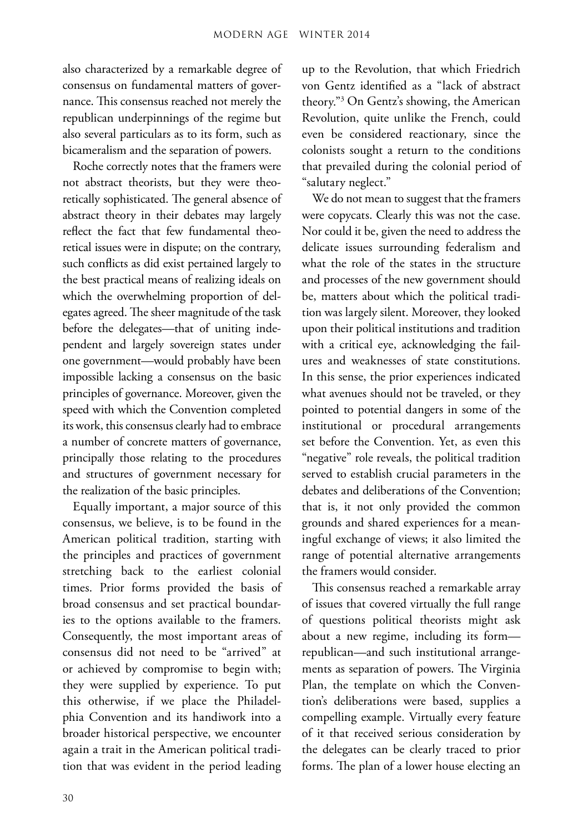also characterized by a remarkable degree of consensus on fundamental matters of governance. This consensus reached not merely the republican underpinnings of the regime but also several particulars as to its form, such as bicameralism and the separation of powers.

Roche correctly notes that the framers were not abstract theorists, but they were theoretically sophisticated. The general absence of abstract theory in their debates may largely reflect the fact that few fundamental theoretical issues were in dispute; on the contrary, such conflicts as did exist pertained largely to the best practical means of realizing ideals on which the overwhelming proportion of delegates agreed. The sheer magnitude of the task before the delegates—that of uniting independent and largely sovereign states under one government—would probably have been impossible lacking a consensus on the basic principles of governance. Moreover, given the speed with which the Convention completed its work, this consensus clearly had to embrace a number of concrete matters of governance, principally those relating to the procedures and structures of government necessary for the realization of the basic principles.

Equally important, a major source of this consensus, we believe, is to be found in the American political tradition, starting with the principles and practices of government stretching back to the earliest colonial times. Prior forms provided the basis of broad consensus and set practical boundaries to the options available to the framers. Consequently, the most important areas of consensus did not need to be "arrived" at or achieved by compromise to begin with; they were supplied by experience. To put this otherwise, if we place the Philadelphia Convention and its handiwork into a broader historical perspective, we encounter again a trait in the American political tradition that was evident in the period leading up to the Revolution, that which Friedrich von Gentz identified as a "lack of abstract theory."3 On Gentz's showing, the American Revolution, quite unlike the French, could even be considered reactionary, since the colonists sought a return to the conditions that prevailed during the colonial period of "salutary neglect."

We do not mean to suggest that the framers were copycats. Clearly this was not the case. Nor could it be, given the need to address the delicate issues surrounding federalism and what the role of the states in the structure and processes of the new government should be, matters about which the political tradition was largely silent. Moreover, they looked upon their political institutions and tradition with a critical eye, acknowledging the failures and weaknesses of state constitutions. In this sense, the prior experiences indicated what avenues should not be traveled, or they pointed to potential dangers in some of the institutional or procedural arrangements set before the Convention. Yet, as even this "negative" role reveals, the political tradition served to establish crucial parameters in the debates and deliberations of the Convention; that is, it not only provided the common grounds and shared experiences for a meaningful exchange of views; it also limited the range of potential alternative arrangements the framers would consider.

This consensus reached a remarkable array of issues that covered virtually the full range of questions political theorists might ask about a new regime, including its form republican—and such institutional arrangements as separation of powers. The Virginia Plan, the template on which the Convention's deliberations were based, supplies a compelling example. Virtually every feature of it that received serious consideration by the delegates can be clearly traced to prior forms. The plan of a lower house electing an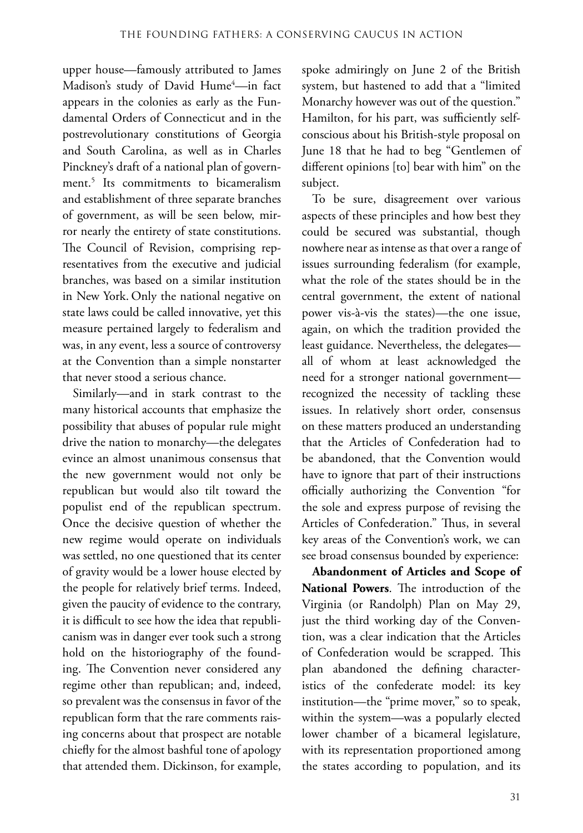upper house—famously attributed to James Madison's study of David Hume<sup>4</sup>—in fact appears in the colonies as early as the Fundamental Orders of Connecticut and in the postrevolutionary constitutions of Georgia and South Carolina, as well as in Charles Pinckney's draft of a national plan of government.5 Its commitments to bicameralism and establishment of three separate branches of government, as will be seen below, mirror nearly the entirety of state constitutions. The Council of Revision, comprising representatives from the executive and judicial branches, was based on a similar institution in New York. Only the national negative on state laws could be called innovative, yet this measure pertained largely to federalism and was, in any event, less a source of controversy at the Convention than a simple nonstarter that never stood a serious chance.

Similarly—and in stark contrast to the many historical accounts that emphasize the possibility that abuses of popular rule might drive the nation to monarchy—the delegates evince an almost unanimous consensus that the new government would not only be republican but would also tilt toward the populist end of the republican spectrum. Once the decisive question of whether the new regime would operate on individuals was settled, no one questioned that its center of gravity would be a lower house elected by the people for relatively brief terms. Indeed, given the paucity of evidence to the contrary, it is difficult to see how the idea that republicanism was in danger ever took such a strong hold on the historiography of the founding. The Convention never considered any regime other than republican; and, indeed, so prevalent was the consensus in favor of the republican form that the rare comments raising concerns about that prospect are notable chiefly for the almost bashful tone of apology that attended them. Dickinson, for example,

spoke admiringly on June 2 of the British system, but hastened to add that a "limited Monarchy however was out of the question." Hamilton, for his part, was sufficiently selfconscious about his British-style proposal on June 18 that he had to beg "Gentlemen of different opinions [to] bear with him" on the subject.

To be sure, disagreement over various aspects of these principles and how best they could be secured was substantial, though nowhere near as intense as that over a range of issues surrounding federalism (for example, what the role of the states should be in the central government, the extent of national power vis-à-vis the states)—the one issue, again, on which the tradition provided the least guidance. Nevertheless, the delegates all of whom at least acknowledged the need for a stronger national government recognized the necessity of tackling these issues. In relatively short order, consensus on these matters produced an understanding that the Articles of Confederation had to be abandoned, that the Convention would have to ignore that part of their instructions officially authorizing the Convention "for the sole and express purpose of revising the Articles of Confederation." Thus, in several key areas of the Convention's work, we can see broad consensus bounded by experience:

**Abandonment of Articles and Scope of National Powers**. The introduction of the Virginia (or Randolph) Plan on May 29, just the third working day of the Convention, was a clear indication that the Articles of Confederation would be scrapped. This plan abandoned the defining characteristics of the confederate model: its key institution—the "prime mover," so to speak, within the system—was a popularly elected lower chamber of a bicameral legislature, with its representation proportioned among the states according to population, and its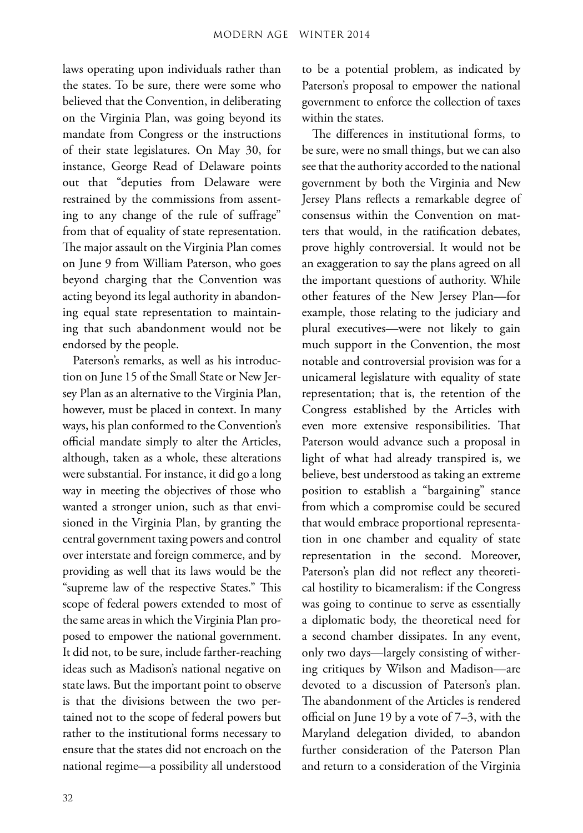laws operating upon individuals rather than the states. To be sure, there were some who believed that the Convention, in deliberating on the Virginia Plan, was going beyond its mandate from Congress or the instructions of their state legislatures. On May 30, for instance, George Read of Delaware points out that "deputies from Delaware were restrained by the commissions from assenting to any change of the rule of suffrage" from that of equality of state representation. The major assault on the Virginia Plan comes on June 9 from William Paterson, who goes beyond charging that the Convention was acting beyond its legal authority in abandoning equal state representation to maintaining that such abandonment would not be endorsed by the people.

Paterson's remarks, as well as his introduction on June 15 of the Small State or New Jersey Plan as an alternative to the Virginia Plan, however, must be placed in context. In many ways, his plan conformed to the Convention's official mandate simply to alter the Articles, although, taken as a whole, these alterations were substantial. For instance, it did go a long way in meeting the objectives of those who wanted a stronger union, such as that envisioned in the Virginia Plan, by granting the central government taxing powers and control over interstate and foreign commerce, and by providing as well that its laws would be the "supreme law of the respective States." This scope of federal powers extended to most of the same areas in which the Virginia Plan proposed to empower the national government. It did not, to be sure, include farther-reaching ideas such as Madison's national negative on state laws. But the important point to observe is that the divisions between the two pertained not to the scope of federal powers but rather to the institutional forms necessary to ensure that the states did not encroach on the national regime—a possibility all understood

to be a potential problem, as indicated by Paterson's proposal to empower the national government to enforce the collection of taxes within the states.

The differences in institutional forms, to be sure, were no small things, but we can also see that the authority accorded to the national government by both the Virginia and New Jersey Plans reflects a remarkable degree of consensus within the Convention on matters that would, in the ratification debates, prove highly controversial. It would not be an exaggeration to say the plans agreed on all the important questions of authority. While other features of the New Jersey Plan—for example, those relating to the judiciary and plural executives—were not likely to gain much support in the Convention, the most notable and controversial provision was for a unicameral legislature with equality of state representation; that is, the retention of the Congress established by the Articles with even more extensive responsibilities. That Paterson would advance such a proposal in light of what had already transpired is, we believe, best understood as taking an extreme position to establish a "bargaining" stance from which a compromise could be secured that would embrace proportional representation in one chamber and equality of state representation in the second. Moreover, Paterson's plan did not reflect any theoretical hostility to bicameralism: if the Congress was going to continue to serve as essentially a diplomatic body, the theoretical need for a second chamber dissipates. In any event, only two days—largely consisting of withering critiques by Wilson and Madison—are devoted to a discussion of Paterson's plan. The abandonment of the Articles is rendered official on June 19 by a vote of 7–3, with the Maryland delegation divided, to abandon further consideration of the Paterson Plan and return to a consideration of the Virginia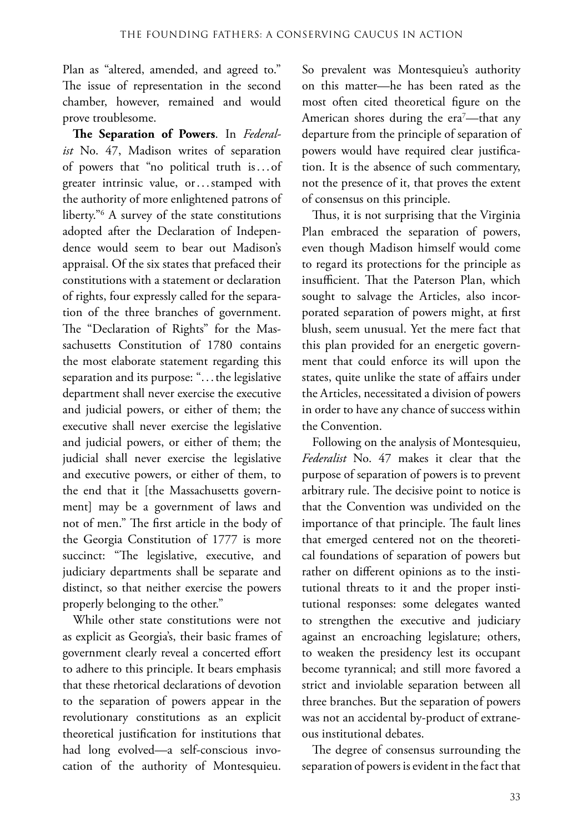Plan as "altered, amended, and agreed to." The issue of representation in the second chamber, however, remained and would prove troublesome.

**The Separation of Powers**. In *Federalist* No. 47, Madison writes of separation of powers that "no political truth is. . . of greater intrinsic value, or...stamped with the authority of more enlightened patrons of liberty."6 A survey of the state constitutions adopted after the Declaration of Independence would seem to bear out Madison's appraisal. Of the six states that prefaced their constitutions with a statement or declaration of rights, four expressly called for the separation of the three branches of government. The "Declaration of Rights" for the Massachusetts Constitution of 1780 contains the most elaborate statement regarding this separation and its purpose: "...the legislative department shall never exercise the executive and judicial powers, or either of them; the executive shall never exercise the legislative and judicial powers, or either of them; the judicial shall never exercise the legislative and executive powers, or either of them, to the end that it [the Massachusetts government] may be a government of laws and not of men." The first article in the body of the Georgia Constitution of 1777 is more succinct: "The legislative, executive, and judiciary departments shall be separate and distinct, so that neither exercise the powers properly belonging to the other."

While other state constitutions were not as explicit as Georgia's, their basic frames of government clearly reveal a concerted effort to adhere to this principle. It bears emphasis that these rhetorical declarations of devotion to the separation of powers appear in the revolutionary constitutions as an explicit theoretical justification for institutions that had long evolved—a self-conscious invocation of the authority of Montesquieu.

So prevalent was Montesquieu's authority on this matter—he has been rated as the most often cited theoretical figure on the American shores during the era7 —that any departure from the principle of separation of powers would have required clear justification. It is the absence of such commentary, not the presence of it, that proves the extent of consensus on this principle.

Thus, it is not surprising that the Virginia Plan embraced the separation of powers, even though Madison himself would come to regard its protections for the principle as insufficient. That the Paterson Plan, which sought to salvage the Articles, also incorporated separation of powers might, at first blush, seem unusual. Yet the mere fact that this plan provided for an energetic government that could enforce its will upon the states, quite unlike the state of affairs under the Articles, necessitated a division of powers in order to have any chance of success within the Convention.

Following on the analysis of Montesquieu, *Federalist* No. 47 makes it clear that the purpose of separation of powers is to prevent arbitrary rule. The decisive point to notice is that the Convention was undivided on the importance of that principle. The fault lines that emerged centered not on the theoretical foundations of separation of powers but rather on different opinions as to the institutional threats to it and the proper institutional responses: some delegates wanted to strengthen the executive and judiciary against an encroaching legislature; others, to weaken the presidency lest its occupant become tyrannical; and still more favored a strict and inviolable separation between all three branches. But the separation of powers was not an accidental by-product of extraneous institutional debates.

The degree of consensus surrounding the separation of powers is evident in the fact that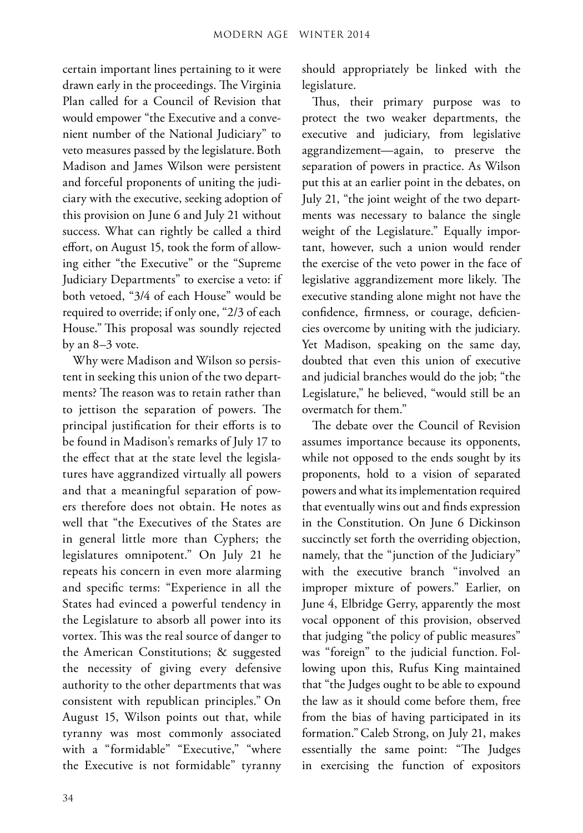certain important lines pertaining to it were drawn early in the proceedings. The Virginia Plan called for a Council of Revision that would empower "the Executive and a convenient number of the National Judiciary" to veto measures passed by the legislature. Both Madison and James Wilson were persistent and forceful proponents of uniting the judiciary with the executive, seeking adoption of this provision on June 6 and July 21 without success. What can rightly be called a third effort, on August 15, took the form of allowing either "the Executive" or the "Supreme Judiciary Departments" to exercise a veto: if both vetoed, "3/4 of each House" would be required to override; if only one, "2/3 of each House." This proposal was soundly rejected by an 8–3 vote.

Why were Madison and Wilson so persistent in seeking this union of the two departments? The reason was to retain rather than to jettison the separation of powers. The principal justification for their efforts is to be found in Madison's remarks of July 17 to the effect that at the state level the legislatures have aggrandized virtually all powers and that a meaningful separation of powers therefore does not obtain. He notes as well that "the Executives of the States are in general little more than Cyphers; the legislatures omnipotent." On July 21 he repeats his concern in even more alarming and specific terms: "Experience in all the States had evinced a powerful tendency in the Legislature to absorb all power into its vortex. This was the real source of danger to the American Constitutions; & suggested the necessity of giving every defensive authority to the other departments that was consistent with republican principles." On August 15, Wilson points out that, while tyranny was most commonly associated with a "formidable" "Executive," "where the Executive is not formidable" tyranny should appropriately be linked with the legislature.

Thus, their primary purpose was to protect the two weaker departments, the executive and judiciary, from legislative aggrandizement—again, to preserve the separation of powers in practice. As Wilson put this at an earlier point in the debates, on July 21, "the joint weight of the two departments was necessary to balance the single weight of the Legislature." Equally important, however, such a union would render the exercise of the veto power in the face of legislative aggrandizement more likely. The executive standing alone might not have the confidence, firmness, or courage, deficiencies overcome by uniting with the judiciary. Yet Madison, speaking on the same day, doubted that even this union of executive and judicial branches would do the job; "the Legislature," he believed, "would still be an overmatch for them."

The debate over the Council of Revision assumes importance because its opponents, while not opposed to the ends sought by its proponents, hold to a vision of separated powers and what its implementation required that eventually wins out and finds expression in the Constitution. On June 6 Dickinson succinctly set forth the overriding objection, namely, that the "junction of the Judiciary" with the executive branch "involved an improper mixture of powers." Earlier, on June 4, Elbridge Gerry, apparently the most vocal opponent of this provision, observed that judging "the policy of public measures" was "foreign" to the judicial function. Following upon this, Rufus King maintained that "the Judges ought to be able to expound the law as it should come before them, free from the bias of having participated in its formation."Caleb Strong, on July 21, makes essentially the same point: "The Judges in exercising the function of expositors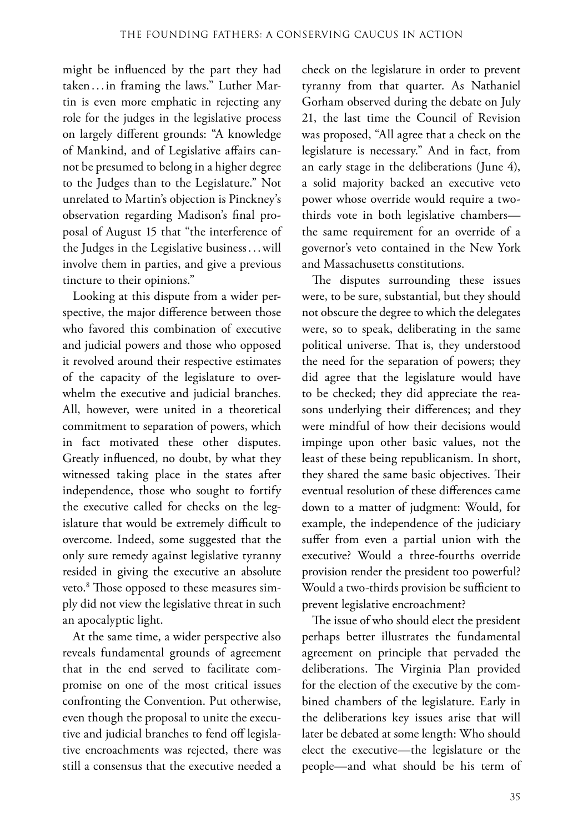might be influenced by the part they had taken. . .in framing the laws." Luther Martin is even more emphatic in rejecting any role for the judges in the legislative process on largely different grounds: "A knowledge of Mankind, and of Legislative affairs cannot be presumed to belong in a higher degree to the Judges than to the Legislature." Not unrelated to Martin's objection is Pinckney's observation regarding Madison's final proposal of August 15 that "the interference of the Judges in the Legislative business. . .will involve them in parties, and give a previous tincture to their opinions."

Looking at this dispute from a wider perspective, the major difference between those who favored this combination of executive and judicial powers and those who opposed it revolved around their respective estimates of the capacity of the legislature to overwhelm the executive and judicial branches. All, however, were united in a theoretical commitment to separation of powers, which in fact motivated these other disputes. Greatly influenced, no doubt, by what they witnessed taking place in the states after independence, those who sought to fortify the executive called for checks on the legislature that would be extremely difficult to overcome. Indeed, some suggested that the only sure remedy against legislative tyranny resided in giving the executive an absolute veto.8 Those opposed to these measures simply did not view the legislative threat in such an apocalyptic light.

At the same time, a wider perspective also reveals fundamental grounds of agreement that in the end served to facilitate compromise on one of the most critical issues confronting the Convention. Put otherwise, even though the proposal to unite the executive and judicial branches to fend off legislative encroachments was rejected, there was still a consensus that the executive needed a

check on the legislature in order to prevent tyranny from that quarter. As Nathaniel Gorham observed during the debate on July 21, the last time the Council of Revision was proposed, "All agree that a check on the legislature is necessary." And in fact, from an early stage in the deliberations (June 4), a solid majority backed an executive veto power whose override would require a twothirds vote in both legislative chambers the same requirement for an override of a governor's veto contained in the New York and Massachusetts constitutions.

The disputes surrounding these issues were, to be sure, substantial, but they should not obscure the degree to which the delegates were, so to speak, deliberating in the same political universe. That is, they understood the need for the separation of powers; they did agree that the legislature would have to be checked; they did appreciate the reasons underlying their differences; and they were mindful of how their decisions would impinge upon other basic values, not the least of these being republicanism. In short, they shared the same basic objectives. Their eventual resolution of these differences came down to a matter of judgment: Would, for example, the independence of the judiciary suffer from even a partial union with the executive? Would a three-fourths override provision render the president too powerful? Would a two-thirds provision be sufficient to prevent legislative encroachment?

The issue of who should elect the president perhaps better illustrates the fundamental agreement on principle that pervaded the deliberations. The Virginia Plan provided for the election of the executive by the combined chambers of the legislature. Early in the deliberations key issues arise that will later be debated at some length: Who should elect the executive—the legislature or the people—and what should be his term of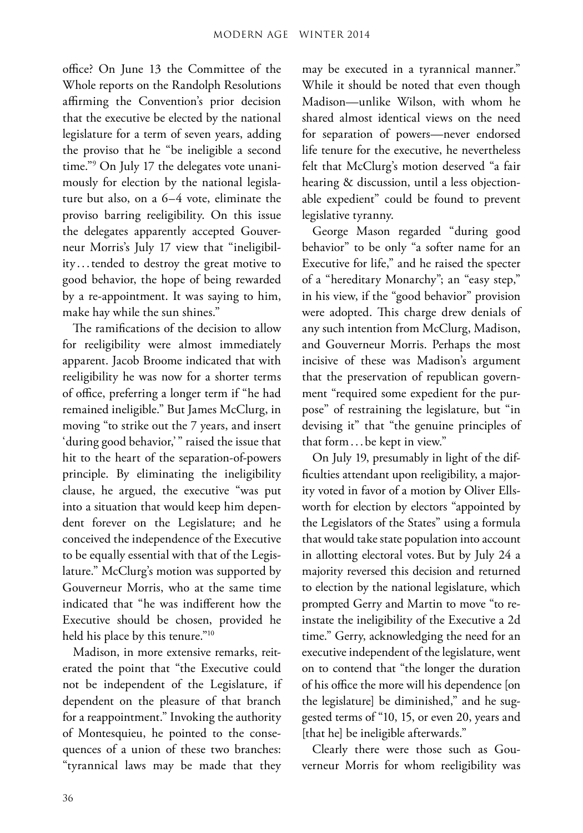office? On June 13 the Committee of the Whole reports on the Randolph Resolutions affirming the Convention's prior decision that the executive be elected by the national legislature for a term of seven years, adding the proviso that he "be ineligible a second time."9 On July 17 the delegates vote unanimously for election by the national legislature but also, on a 6–4 vote, eliminate the proviso barring reeligibility. On this issue the delegates apparently accepted Gouverneur Morris's July 17 view that "ineligibility ...tended to destroy the great motive to good behavior, the hope of being rewarded by a re-appointment. It was saying to him, make hay while the sun shines."

The ramifications of the decision to allow for reeligibility were almost immediately apparent. Jacob Broome indicated that with reeligibility he was now for a shorter terms of office, preferring a longer term if "he had remained ineligible." But James McClurg, in moving "to strike out the 7 years, and insert 'during good behavior,'" raised the issue that hit to the heart of the separation-of-powers principle. By eliminating the ineligibility clause, he argued, the executive "was put into a situation that would keep him dependent forever on the Legislature; and he conceived the independence of the Executive to be equally essential with that of the Legislature." McClurg's motion was supported by Gouverneur Morris, who at the same time indicated that "he was indifferent how the Executive should be chosen, provided he held his place by this tenure."<sup>10</sup>

Madison, in more extensive remarks, reiterated the point that "the Executive could not be independent of the Legislature, if dependent on the pleasure of that branch for a reappointment." Invoking the authority of Montesquieu, he pointed to the consequences of a union of these two branches: "tyrannical laws may be made that they

may be executed in a tyrannical manner." While it should be noted that even though Madison—unlike Wilson, with whom he shared almost identical views on the need for separation of powers—never endorsed life tenure for the executive, he nevertheless felt that McClurg's motion deserved "a fair hearing & discussion, until a less objectionable expedient" could be found to prevent legislative tyranny.

George Mason regarded "during good behavior" to be only "a softer name for an Executive for life," and he raised the specter of a "hereditary Monarchy"; an "easy step," in his view, if the "good behavior" provision were adopted. This charge drew denials of any such intention from McClurg, Madison, and Gouverneur Morris. Perhaps the most incisive of these was Madison's argument that the preservation of republican government "required some expedient for the purpose" of restraining the legislature, but "in devising it" that "the genuine principles of that form...be kept in view."

On July 19, presumably in light of the difficulties attendant upon reeligibility, a majority voted in favor of a motion by Oliver Ellsworth for election by electors "appointed by the Legislators of the States" using a formula that would take state population into account in allotting electoral votes. But by July 24 a majority reversed this decision and returned to election by the national legislature, which prompted Gerry and Martin to move "to reinstate the ineligibility of the Executive a 2d time." Gerry, acknowledging the need for an executive independent of the legislature, went on to contend that "the longer the duration of his office the more will his dependence [on the legislature] be diminished," and he suggested terms of "10, 15, or even 20, years and [that he] be ineligible afterwards."

Clearly there were those such as Gouverneur Morris for whom reeligibility was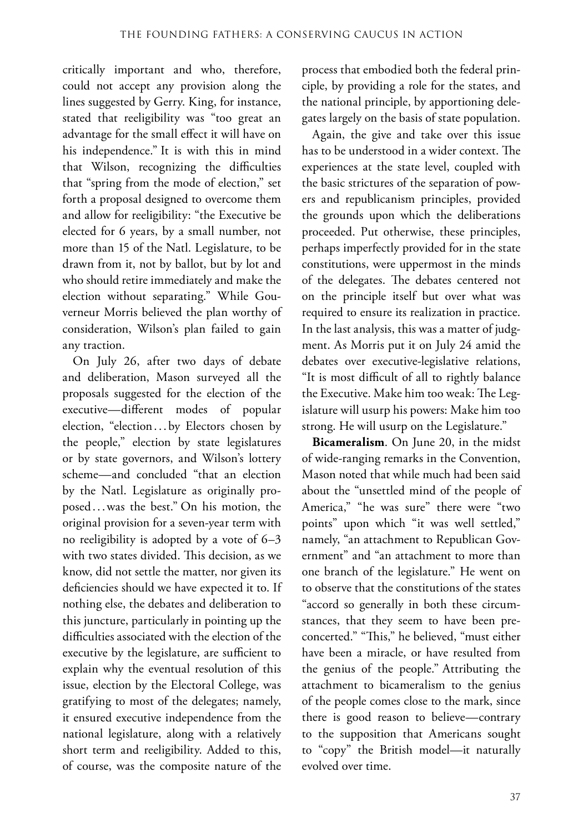critically important and who, therefore, could not accept any provision along the lines suggested by Gerry. King, for instance, stated that reeligibility was "too great an advantage for the small effect it will have on his independence." It is with this in mind that Wilson, recognizing the difficulties that "spring from the mode of election," set forth a proposal designed to overcome them and allow for reeligibility: "the Executive be elected for 6 years, by a small number, not more than 15 of the Natl. Legislature, to be drawn from it, not by ballot, but by lot and who should retire immediately and make the election without separating." While Gouverneur Morris believed the plan worthy of consideration, Wilson's plan failed to gain any traction.

On July 26, after two days of debate and deliberation, Mason surveyed all the proposals suggested for the election of the executive—different modes of popular election, "election... by Electors chosen by the people," election by state legislatures or by state governors, and Wilson's lottery scheme—and concluded "that an election by the Natl. Legislature as originally proposed. ..was the best." On his motion, the original provision for a seven-year term with no reeligibility is adopted by a vote of 6–3 with two states divided. This decision, as we know, did not settle the matter, nor given its deficiencies should we have expected it to. If nothing else, the debates and deliberation to this juncture, particularly in pointing up the difficulties associated with the election of the executive by the legislature, are sufficient to explain why the eventual resolution of this issue, election by the Electoral College, was gratifying to most of the delegates; namely, it ensured executive independence from the national legislature, along with a relatively short term and reeligibility. Added to this, of course, was the composite nature of the

process that embodied both the federal principle, by providing a role for the states, and the national principle, by apportioning delegates largely on the basis of state population.

Again, the give and take over this issue has to be understood in a wider context. The experiences at the state level, coupled with the basic strictures of the separation of powers and republicanism principles, provided the grounds upon which the deliberations proceeded. Put otherwise, these principles, perhaps imperfectly provided for in the state constitutions, were uppermost in the minds of the delegates. The debates centered not on the principle itself but over what was required to ensure its realization in practice. In the last analysis, this was a matter of judgment. As Morris put it on July 24 amid the debates over executive-legislative relations, "It is most difficult of all to rightly balance the Executive. Make him too weak: The Legislature will usurp his powers: Make him too strong. He will usurp on the Legislature."

**Bicameralism**. On June 20, in the midst of wide-ranging remarks in the Convention, Mason noted that while much had been said about the "unsettled mind of the people of America," "he was sure" there were "two points" upon which "it was well settled," namely, "an attachment to Republican Government" and "an attachment to more than one branch of the legislature." He went on to observe that the constitutions of the states "accord so generally in both these circumstances, that they seem to have been preconcerted." "This," he believed, "must either have been a miracle, or have resulted from the genius of the people." Attributing the attachment to bicameralism to the genius of the people comes close to the mark, since there is good reason to believe—contrary to the supposition that Americans sought to "copy" the British model—it naturally evolved over time.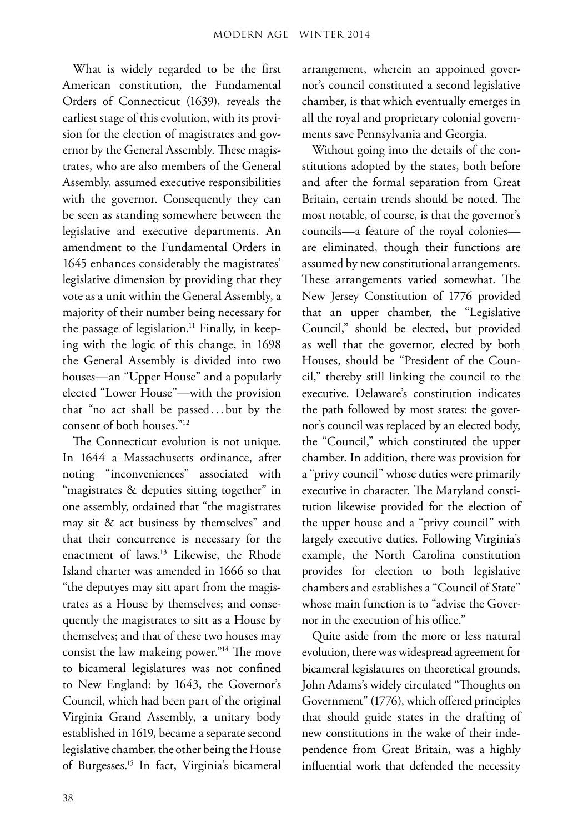What is widely regarded to be the first American constitution, the Fundamental Orders of Connecticut (1639), reveals the earliest stage of this evolution, with its provision for the election of magistrates and governor by the General Assembly. These magistrates, who are also members of the General Assembly, assumed executive responsibilities with the governor. Consequently they can be seen as standing somewhere between the legislative and executive departments. An amendment to the Fundamental Orders in 1645 enhances considerably the magistrates' legislative dimension by providing that they vote as a unit within the General Assembly, a majority of their number being necessary for the passage of legislation.<sup>11</sup> Finally, in keeping with the logic of this change, in 1698 the General Assembly is divided into two houses—an "Upper House" and a popularly elected "Lower House"—with the provision that "no act shall be passed.. . but by the consent of both houses."12

The Connecticut evolution is not unique. In 1644 a Massachusetts ordinance, after noting "inconveniences" associated with "magistrates & deputies sitting together" in one assembly, ordained that "the magistrates may sit & act business by themselves" and that their concurrence is necessary for the enactment of laws.13 Likewise, the Rhode Island charter was amended in 1666 so that "the deputyes may sitt apart from the magistrates as a House by themselves; and consequently the magistrates to sitt as a House by themselves; and that of these two houses may consist the law makeing power."14 The move to bicameral legislatures was not confined to New England: by 1643, the Governor's Council, which had been part of the original Virginia Grand Assembly, a unitary body established in 1619, became a separate second legislative chamber, the other being the House of Burgesses.<sup>15</sup> In fact, Virginia's bicameral

arrangement, wherein an appointed governor's council constituted a second legislative chamber, is that which eventually emerges in all the royal and proprietary colonial governments save Pennsylvania and Georgia.

Without going into the details of the constitutions adopted by the states, both before and after the formal separation from Great Britain, certain trends should be noted. The most notable, of course, is that the governor's councils—a feature of the royal colonies are eliminated, though their functions are assumed by new constitutional arrangements. These arrangements varied somewhat. The New Jersey Constitution of 1776 provided that an upper chamber, the "Legislative Council," should be elected, but provided as well that the governor, elected by both Houses, should be "President of the Council," thereby still linking the council to the executive. Delaware's constitution indicates the path followed by most states: the governor's council was replaced by an elected body, the "Council," which constituted the upper chamber. In addition, there was provision for a "privy council" whose duties were primarily executive in character. The Maryland constitution likewise provided for the election of the upper house and a "privy council" with largely executive duties. Following Virginia's example, the North Carolina constitution provides for election to both legislative chambers and establishes a "Council of State" whose main function is to "advise the Governor in the execution of his office."

Quite aside from the more or less natural evolution, there was widespread agreement for bicameral legislatures on theoretical grounds. John Adams's widely circulated "Thoughts on Government" (1776), which offered principles that should guide states in the drafting of new constitutions in the wake of their independence from Great Britain, was a highly influential work that defended the necessity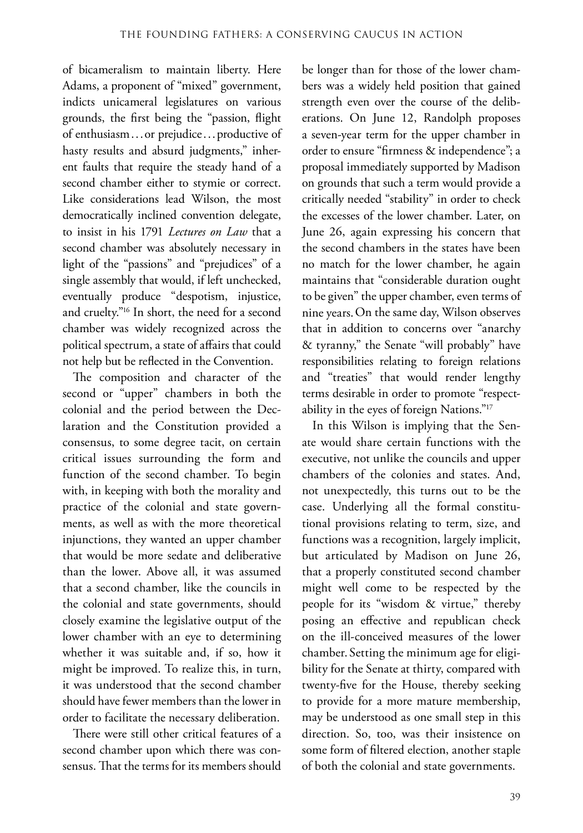of bicameralism to maintain liberty. Here Adams, a proponent of "mixed" government, indicts unicameral legislatures on various grounds, the first being the "passion, flight of enthusiasm...or prejudice...productive of hasty results and absurd judgments," inherent faults that require the steady hand of a second chamber either to stymie or correct. Like considerations lead Wilson, the most democratically inclined convention delegate, to insist in his 1791 *Lectures on Law* that a second chamber was absolutely necessary in light of the "passions" and "prejudices" of a single assembly that would, if left unchecked, eventually produce "despotism, injustice, and cruelty."16 In short, the need for a second chamber was widely recognized across the political spectrum, a state of affairs that could not help but be reflected in the Convention.

The composition and character of the second or "upper" chambers in both the colonial and the period between the Declaration and the Constitution provided a consensus, to some degree tacit, on certain critical issues surrounding the form and function of the second chamber. To begin with, in keeping with both the morality and practice of the colonial and state governments, as well as with the more theoretical injunctions, they wanted an upper chamber that would be more sedate and deliberative than the lower. Above all, it was assumed that a second chamber, like the councils in the colonial and state governments, should closely examine the legislative output of the lower chamber with an eye to determining whether it was suitable and, if so, how it might be improved. To realize this, in turn, it was understood that the second chamber should have fewer members than the lower in order to facilitate the necessary deliberation.

There were still other critical features of a second chamber upon which there was consensus. That the terms for its members should

be longer than for those of the lower chambers was a widely held position that gained strength even over the course of the deliberations. On June 12, Randolph proposes a seven-year term for the upper chamber in order to ensure "firmness & independence"; a proposal immediately supported by Madison on grounds that such a term would provide a critically needed "stability" in order to check the excesses of the lower chamber. Later, on June 26, again expressing his concern that the second chambers in the states have been no match for the lower chamber, he again maintains that "considerable duration ought to be given" the upper chamber, even terms of nine years.On the same day, Wilson observes that in addition to concerns over "anarchy & tyranny," the Senate "will probably" have responsibilities relating to foreign relations and "treaties" that would render lengthy terms desirable in order to promote "respectability in the eyes of foreign Nations."17

In this Wilson is implying that the Senate would share certain functions with the executive, not unlike the councils and upper chambers of the colonies and states. And, not unexpectedly, this turns out to be the case. Underlying all the formal constitutional provisions relating to term, size, and functions was a recognition, largely implicit, but articulated by Madison on June 26, that a properly constituted second chamber might well come to be respected by the people for its "wisdom & virtue," thereby posing an effective and republican check on the ill-conceived measures of the lower chamber. Setting the minimum age for eligibility for the Senate at thirty, compared with twenty-five for the House, thereby seeking to provide for a more mature membership, may be understood as one small step in this direction. So, too, was their insistence on some form of filtered election, another staple of both the colonial and state governments.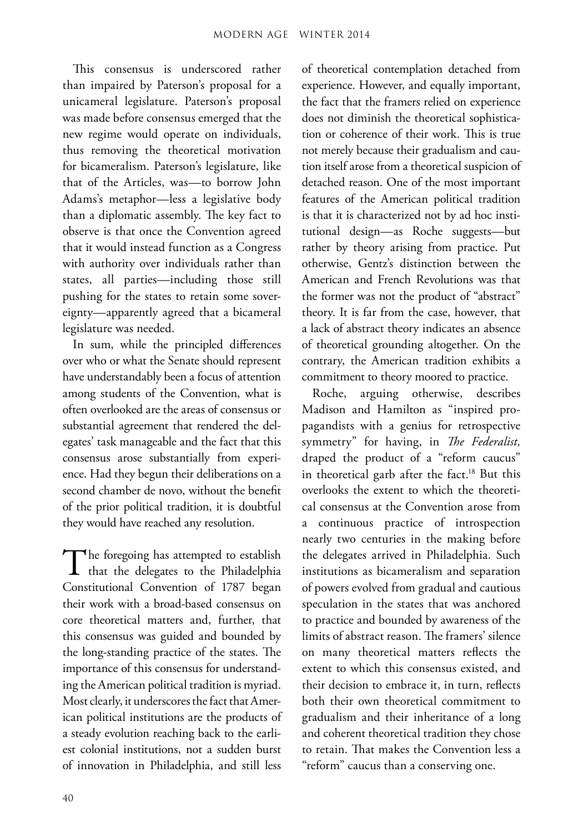This consensus is underscored rather than impaired by Paterson's proposal for a unicameral legislature. Paterson's proposal was made before consensus emerged that the new regime would operate on individuals, thus removing the theoretical motivation for bicameralism. Paterson's legislature, like that of the Articles, was—to borrow John Adams's metaphor—less a legislative body than a diplomatic assembly. The key fact to observe is that once the Convention agreed that it would instead function as a Congress with authority over individuals rather than states, all parties—including those still pushing for the states to retain some sovereignty—apparently agreed that a bicameral legislature was needed.

In sum, while the principled differences over who or what the Senate should represent have understandably been a focus of attention among students of the Convention, what is often overlooked are the areas of consensus or substantial agreement that rendered the delegates' task manageable and the fact that this consensus arose substantially from experience. Had they begun their deliberations on a second chamber de novo, without the benefit of the prior political tradition, it is doubtful they would have reached any resolution.

The foregoing has attempted to establish<br>that the delegates to the Philadelphia Constitutional Convention of 1787 began their work with a broad-based consensus on core theoretical matters and, further, that this consensus was guided and bounded by the long-standing practice of the states. The importance of this consensus for understanding the American political tradition is myriad. Most clearly, it underscores the fact that American political institutions are the products of a steady evolution reaching back to the earliest colonial institutions, not a sudden burst of innovation in Philadelphia, and still less

of theoretical contemplation detached from experience. However, and equally important, the fact that the framers relied on experience does not diminish the theoretical sophistication or coherence of their work. This is true not merely because their gradualism and caution itself arose from a theoretical suspicion of detached reason. One of the most important features of the American political tradition is that it is characterized not by ad hoc institutional design—as Roche suggests—but rather by theory arising from practice. Put otherwise, Gentz's distinction between the American and French Revolutions was that the former was not the product of "abstract" theory. It is far from the case, however, that a lack of abstract theory indicates an absence of theoretical grounding altogether. On the contrary, the American tradition exhibits a commitment to theory moored to practice.

Roche, arguing otherwise, describes Madison and Hamilton as "inspired propagandists with a genius for retrospective symmetry" for having, in *The Federalist,* draped the product of a "reform caucus" in theoretical garb after the fact.<sup>18</sup> But this overlooks the extent to which the theoretical consensus at the Convention arose from a continuous practice of introspection nearly two centuries in the making before the delegates arrived in Philadelphia. Such institutions as bicameralism and separation of powers evolved from gradual and cautious speculation in the states that was anchored to practice and bounded by awareness of the limits of abstract reason. The framers' silence on many theoretical matters reflects the extent to which this consensus existed, and their decision to embrace it, in turn, reflects both their own theoretical commitment to gradualism and their inheritance of a long and coherent theoretical tradition they chose to retain. That makes the Convention less a "reform" caucus than a conserving one.